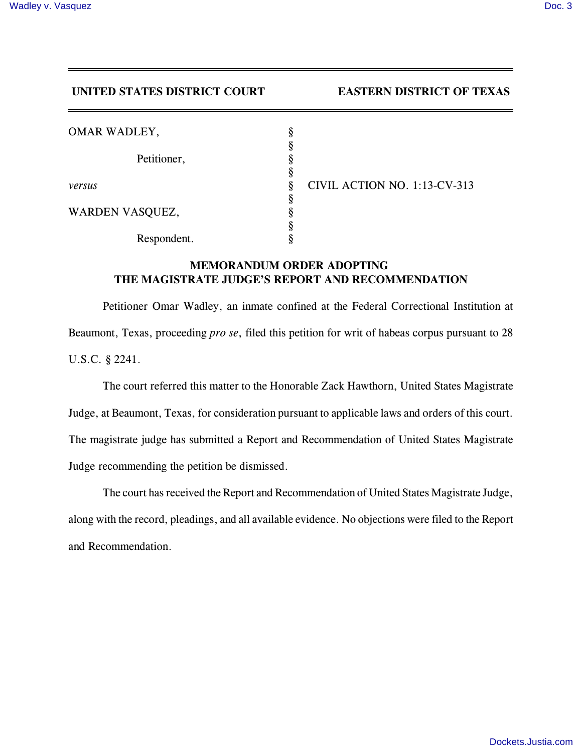## **UNITED STATES DISTRICT COURT EASTERN DISTRICT OF TEXAS**

| OMAR WADLEY,    | 8 |        |
|-----------------|---|--------|
|                 | 8 |        |
| Petitioner,     | 8 |        |
|                 | 8 |        |
| versus          | 8 | CIVIL. |
|                 | 8 |        |
| WARDEN VASQUEZ, | 8 |        |
|                 | 8 |        |
| Respondent.     |   |        |

**ACTION NO. 1:13-CV-313** 

## **MEMORANDUM ORDER ADOPTING THE MAGISTRATE JUDGE'S REPORT AND RECOMMENDATION**

Petitioner Omar Wadley, an inmate confined at the Federal Correctional Institution at Beaumont, Texas, proceeding *pro se*, filed this petition for writ of habeas corpus pursuant to 28 U.S.C. § 2241.

The court referred this matter to the Honorable Zack Hawthorn, United States Magistrate Judge, at Beaumont, Texas, for consideration pursuant to applicable laws and orders of this court. The magistrate judge has submitted a Report and Recommendation of United States Magistrate Judge recommending the petition be dismissed.

The court has received the Report and Recommendation of United States Magistrate Judge, along with the record, pleadings, and all available evidence. No objections were filed to the Report and Recommendation.